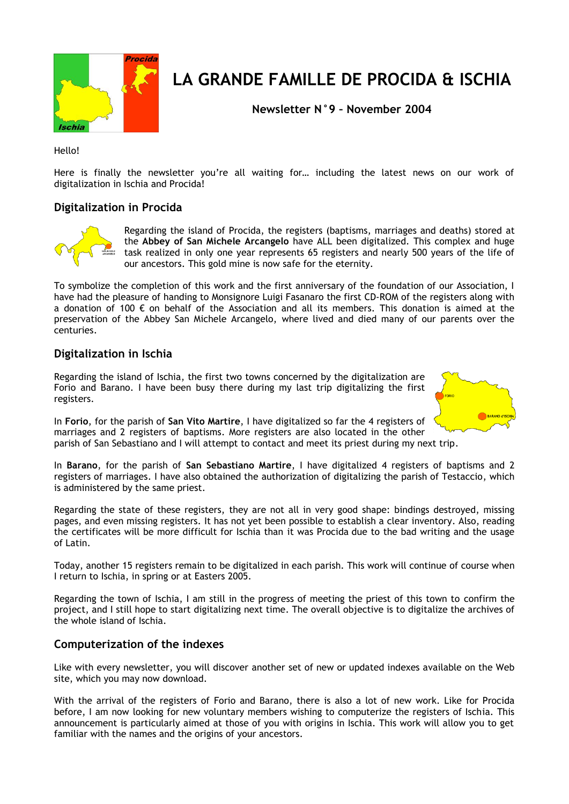

# **LA GRANDE FAMILLE DE PROCIDA & ISCHIA**

**Newsletter N°9 – November 2004**

Hello!

Here is finally the newsletter you're all waiting for… including the latest news on our work of digitalization in Ischia and Procida!

### **Digitalization in Procida**



Regarding the island of Procida, the registers (baptisms, marriages and deaths) stored at the **Abbey of San Michele Arcangelo** have ALL been digitalized. This complex and huge task realized in only one year represents 65 registers and nearly 500 years of the life of our ancestors. This gold mine is now safe for the eternity.

To symbolize the completion of this work and the first anniversary of the foundation of our Association, I have had the pleasure of handing to Monsignore Luigi Fasanaro the first CD-ROM of the registers along with a donation of 100  $\epsilon$  on behalf of the Association and all its members. This donation is aimed at the preservation of the Abbey San Michele Arcangelo, where lived and died many of our parents over the centuries.

#### **Digitalization in Ischia**

Regarding the island of Ischia, the first two towns concerned by the digitalization are Forio and Barano. I have been busy there during my last trip digitalizing the first registers.

In **Forio**, for the parish of **San Vito Martire**, I have digitalized so far the 4 registers of marriages and 2 registers of baptisms. More registers are also located in the other parish of San Sebastiano and I will attempt to contact and meet its priest during my next trip.

In **Barano**, for the parish of **San Sebastiano Martire**, I have digitalized 4 registers of baptisms and 2 registers of marriages. I have also obtained the authorization of digitalizing the parish of Testaccio, which is administered by the same priest.

Regarding the state of these registers, they are not all in very good shape: bindings destroyed, missing pages, and even missing registers. It has not yet been possible to establish a clear inventory. Also, reading the certificates will be more difficult for Ischia than it was Procida due to the bad writing and the usage of Latin.

Today, another 15 registers remain to be digitalized in each parish. This work will continue of course when I return to Ischia, in spring or at Easters 2005.

Regarding the town of Ischia, I am still in the progress of meeting the priest of this town to confirm the project, and I still hope to start digitalizing next time. The overall objective is to digitalize the archives of the whole island of Ischia.

## **Computerization of the indexes**

Like with every newsletter, you will discover another set of new or updated indexes available on the Web site, which you may now download.

With the arrival of the registers of Forio and Barano, there is also a lot of new work. Like for Procida before, I am now looking for new voluntary members wishing to computerize the registers of Ischia. This announcement is particularly aimed at those of you with origins in Ischia. This work will allow you to get familiar with the names and the origins of your ancestors.